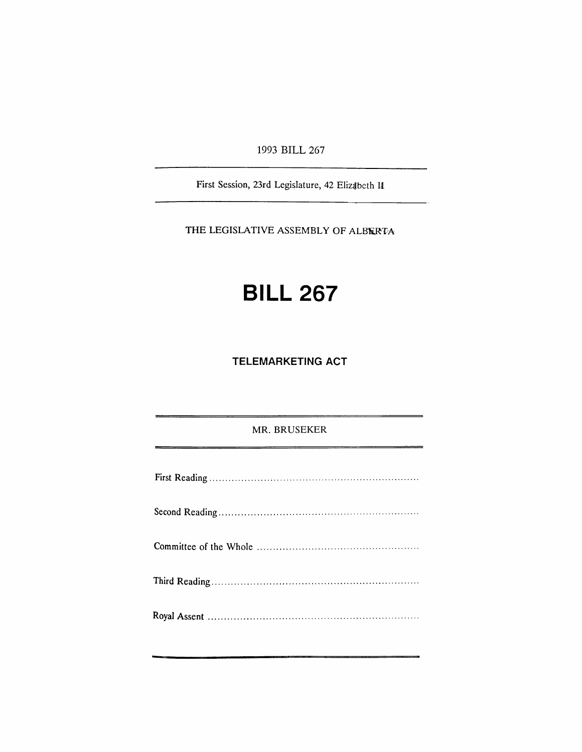1993 BILL 267

First Session, 23rd Legislature, 42 Elizabeth II

THE LEGISLATIVE ASSEMBLY OF ALBERTA

## **BILL 267**

**TELEMARKETING ACT**

MR. BRUSEKER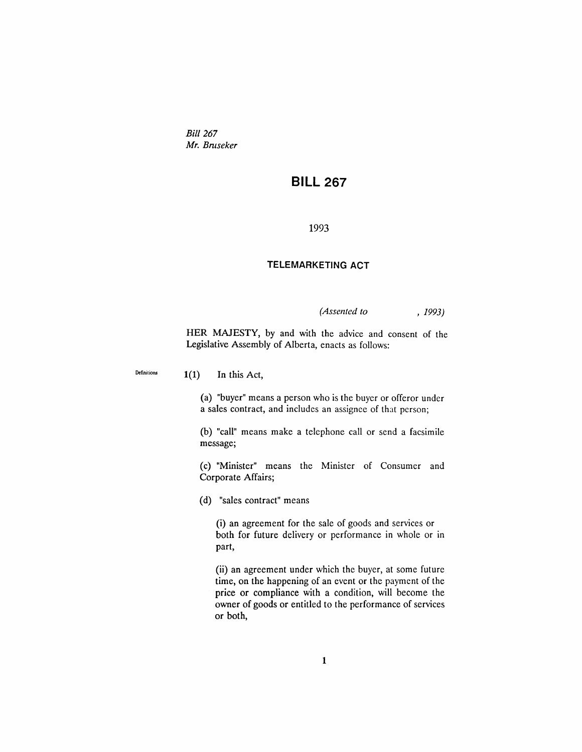*Bill 267 Mr. Brnseker*

## **BILL 267**

1993

## **TELEMARKETING ACT**

*(Assented to* , 1993)

HER MAJESTY, by and with the advice and consent of the Legislative Assembly of Alberta, enacts as follows:

Definitions 1(1) **In** this Act,

(a) "buyer" means a person who is the buyer or offeror under a sales contract, and includes an assignee of that person;

(b) "call" means make a telephone call or send a facsimile message;

(c) "Minister" means the Minister of Consumer and Corporate Affairs;

(d) "sales contract" means

(i) an agreement for the sale of goods and services or both for future delivery or performance in whole or in part,

(ii) an agreement under which the buyer, at some future time, on the happening of an event or the payment of the price or compliance with a condition, will become the owner of goods or entitled to the performance of services or both,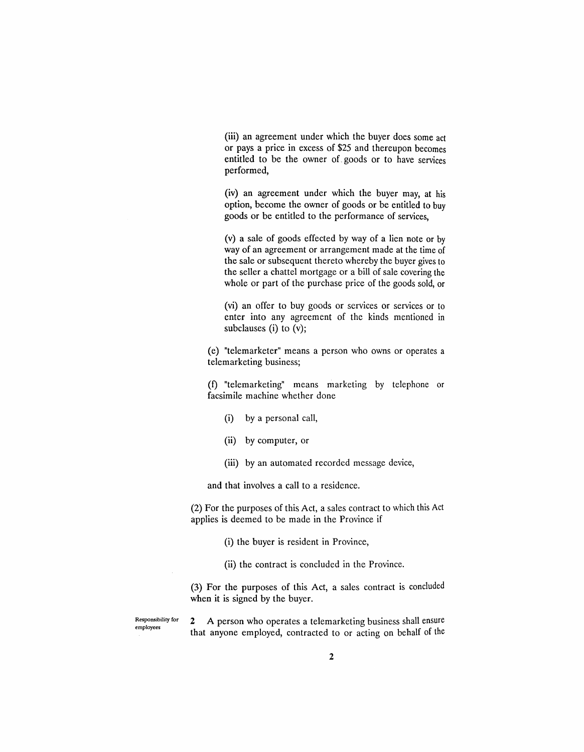(iii) an agreement under which the buyer does some act or pays a price in excess of \$25 and thereupon becomes entitled to be the owner of\_goods or to have services performed,

(iv) an agreement under which the buyer may, at his option, become the owner of goods or be entitled to buy goods or be entitled to the performance of services,

(v) a sale of goods effected by way of a lien note or by way of an agreement or arrangement made at the time of the sale or subsequent thereto whereby the buyer gives to the seller a chattel mortgage or a bill of sale covering the whole or part of the purchase price of the goods sold, or

(vi) an offer to buy goods or services or services or to enter into any agreement of the kinds mentioned in subclauses (i) to (v);

(e) "telemarketer" means a person who owns or operates a telemarketing business;

(f) "telemarketing" means marketing by telephone or facsimile machine whether done

- (i) by a personal call,
- (ii) by computer, or
- (iii) by an automated recorded message device,

and that involves a call to a residence.

(2) For the purposes of this Act, a sales contract to which this Act applies is deemed to be made in the Province if

(i) the buyer is resident in Province,

(ii) the contract is concluded in the Province.

(3) For the purposes of this Act, a sales contract is concluded when it is signed by the buyer.

Responsibility for employees

2 A person who operates a telemarketing business shall ensure that anyone employed, contracted to or acting on behalf of the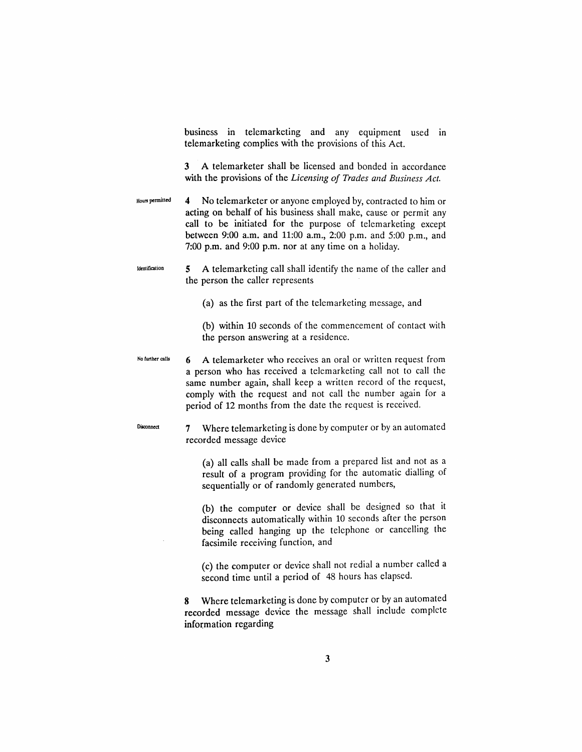business in telemarketing and any equipment used in telemarketing complies with the provisions of this Act.

3 A telemarketer shall be licensed and bonded in accordance with the provisions of the *Licensing of Trades and Business Act.*

- Hounpermitted 4 No telemarketer or anyone employed by, contracted to him or acting on behalf of his business shall make, cause or permit any call to be initiated for the purpose of telemarketing except between 9:00 a.m. and 11:00 a.m., 2:00 p.m. and 5:00 p.m., and 7:00 p.m. and 9:00 p.m. nor at any time on a holiday.
- Identification 5 A telemarketing call shall identify the name of the caller and the person the caller represents
	- (a) as the first part of the telemarketing message, and
	- (b) within 10 seconds of the commencement of contact with the person answering at a residence.
- No further calls 6 A telemarketer who receives an oral or written request from a person who has received a telemarketing call not to call the same number again, shall keep a written record of the request, comply with the request and not call the number again for a period of 12 months from the date the request is received.

Disconnect

- 7 Where telemarketing is done by computer or by an automated recorded message device
	- (a) all calls shall be made from a prepared list and not as a result of a program providing for the automatic dialling of sequentially or of randomly generated numbers,
	- (b) the computer or device shall be designed so that it disconnects automatically within 10 seconds after the person being called hanging up the telephone or cancelling the facsimile receiving function, and
	- (c) the computer or device shall not redial a number called a second time until a period of 48 hours has elapsed.
- 8 Where telemarketing is done by computer or by an automated recorded message device the message shall include complete information regarding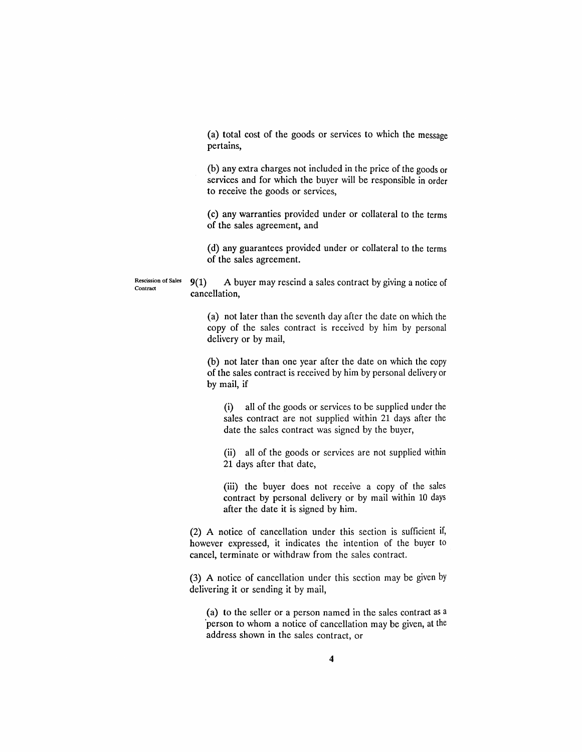(a) total cost of the goods or services to which the message pertains,

(b) any extra charges not included in the price of the goods or services and for which the buyer will be responsible in order to receive the goods or services,

(c) any warranties provided under or collateral to the terms of the sales agreement, and

(d) any guarantees provided under or collateral to the terms of the sales agreement.

Rescission of Sales 9(1) A buyer may rescind a sales contract by giving a notice of cancellation,

Contract

(a) not later than the seventh day after the date on which the copy of the sales contract is received by him by personal delivery or by mail,

(b) not later than one year after the date on which the copy of the sales contract is received by him by personal delivery or by mail, if

(i) all of the goods or services to be supplied under the sales contract are not supplied within 21 days after the date the sales contract was signed by the buyer,

(ii) all of the goods or services are not supplied within 21 days after that date,

(iii) the buyer does not receive a copy of the sales contract by personal delivery or by mail within 10 days after the date it is signed by him.

(2) A notice of cancellation under this section is sufficient if, however expressed, it indicates the intention of the buyer to cancel, terminate or withdraw from the sales contract.

(3) A notice of cancellation under this section may be given by delivering it or sending it by mail,

(a) to the seller or a person named in the sales contract as a 'person to whom a notice of cancellation may be given, at the address shown in the sales contract, or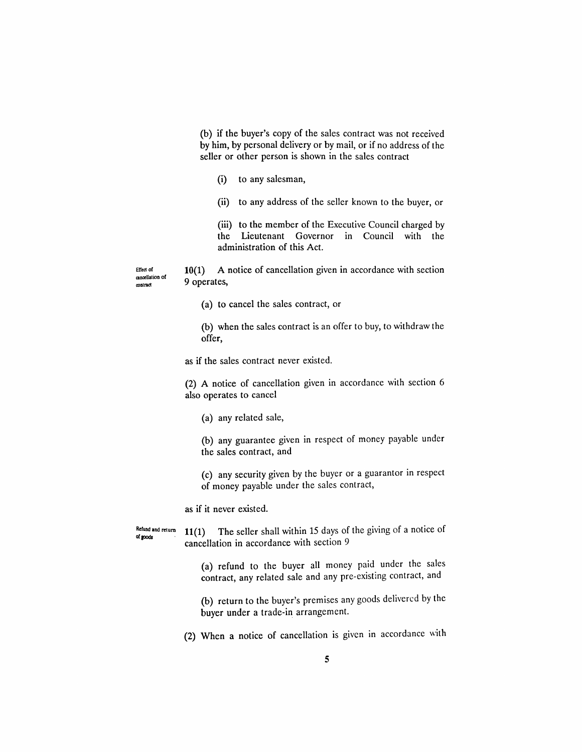(b) if the buyer's copy of the sales contract was not received by him, by personal delivery or by mail, or if no address of the seller or other person is shown in the sales contract

(i) to any salesman,

(ii) to any address of the seller known to the buyer, or

(iii) to the member of the Executive Council charged by the Lieutenant Governor in Council with the administration of this Act.

Elledot cancellation ot contract

10(1) A notice of cancellation given in accordance with section 9 operates,

(a) to cancel the sales contract, or

(b) when the sales contract is an offer to buy, to withdraw the offer,

as if the sales contract never existed.

(2) A notice of cancellation given in accordance with section 6 also operates to cancel

(a) any related sale,

(b) any guarantee given in respect of money payable under the sales contract, and

(c) any security given by the buyer or a guarantor in respect of money payable under the sales contract,

as if it never existed.

Refund and return of goods 11(1) The seller shall within 15 days of the giving of a notice of cancellation in accordance with section 9

> (a) refund to the buyer all money paid under the sales contract, any related sale and any pre-existing contract, and

> (b) return to the buyer's premises any goods delivered by the buyer under a trade-in arrangement.

(2) When a notice of cancellation is given in accordance with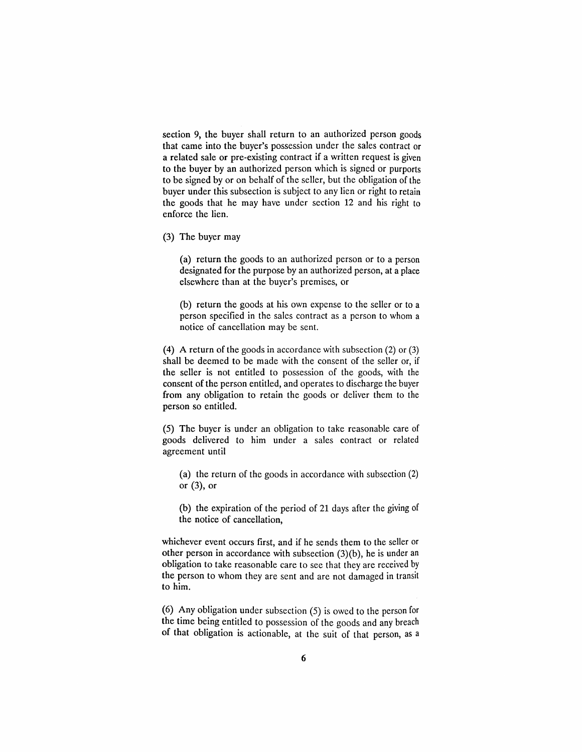section 9, the buyer shall return to an authorized person goods that came into the buyer's possession under the sales contract or a related sale or pre-existing contract if a written request is given to the buyer by an authorized person which is signed or purports to be signed by or on behalf of the seller, but the obligation of the buyer under this subsection is subject to any lien or right to retain the goods that he may have under section 12 and his right to enforce the lien.

(3) The buyer may

(a) return the goods to an authorized person or to a person designated for the purpose by an authorized person, at a place elsewhere than at the buyer's premises, or

(b) return the goods at his own expense to the seller or to a person specified in the sales contract as a person to whom a notice of cancellation may be sent.

(4) A return of the goods in accordance with subsection (2) or (3) shall be deemed to be made with the consent of the seller or, if the seller is not entitled to possession of the goods, with the consent of the person entitled, and operates to discharge the buyer from any obligation to retain the goods or deliver them to the person so entitled.

(5) The buyer is under an obligation to take reasonable care of goods delivered to him under a sales contract or related agreement until

(a) the return of the goods in accordance with subsection (2) or (3), or

(b) the expiration of the period of 21 days after the giving of the notice of cancellation,

whichever event occurs first, and if he sends them to the seller or other person in accordance with subsection (3)(b), he is under an obligation to take reasonable care to see that they are received by the person to whom they are sent and are not damaged in transit to him.

(6) Any obligation under subsection (5) is owed to the person for the time being entitled to possession of the goods and any breach of that obligation is actionable, at the suit of that person, as a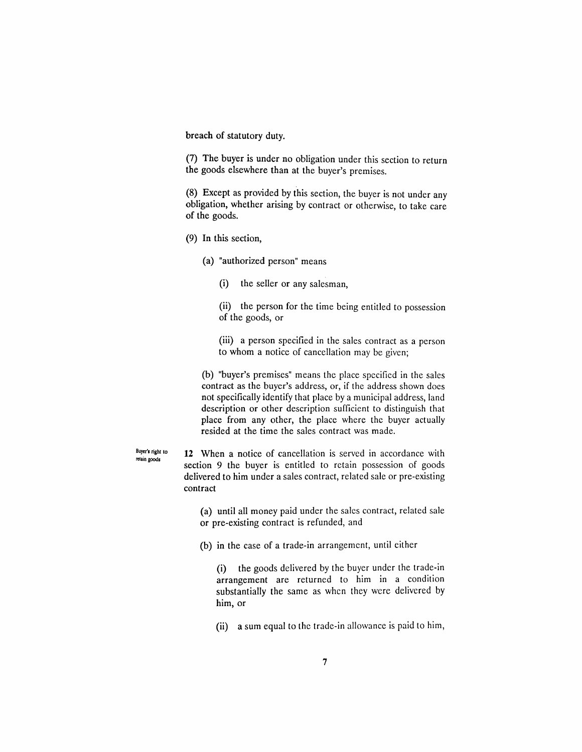breach of statutory duty.

(7) The buyer is under no obligation under this section to return the goods elsewhere than at the buyer's premises.

(8) Except as provided by this section, the buyer is not under any obligation, whether arising by contract or otherwise, to take care of the goods.

- (9) In this section,
	- (a) "authorized person" means
		- (i) the seller or any salesman,

(ii) the person for the time being entitled to possession of the goods, or

(iii) a person specified in the sales contract as a person to whom a notice of cancellation may be given;

(b) "buyer's premises" means the place specified in the sales contract as the buyer's address, or, if the address shown does not specifically identify that place by a municipal address, land description or other description sufficient to distinguish that place from any other, the place where the buyer actually resided at the time the sales contract was made.

Buyer's right to relain goods **12** When a notice of cancellation is served in accordance with section 9 the buyer is entitled to retain possession of goods delivered to him under a sales contract, related sale or pre-existing contract

> (a) until all money paid under the sales contract, related sale or pre-existing contract is refunded, and

(b) in the case of a trade-in arrangement, until either

(i) the goods delivered by the buyer under the trade-in arrangement are returned to him in a condition substantially the same as when they were delivered by him, or

(ii) a sum equal to the trade-in allowance is paid to him,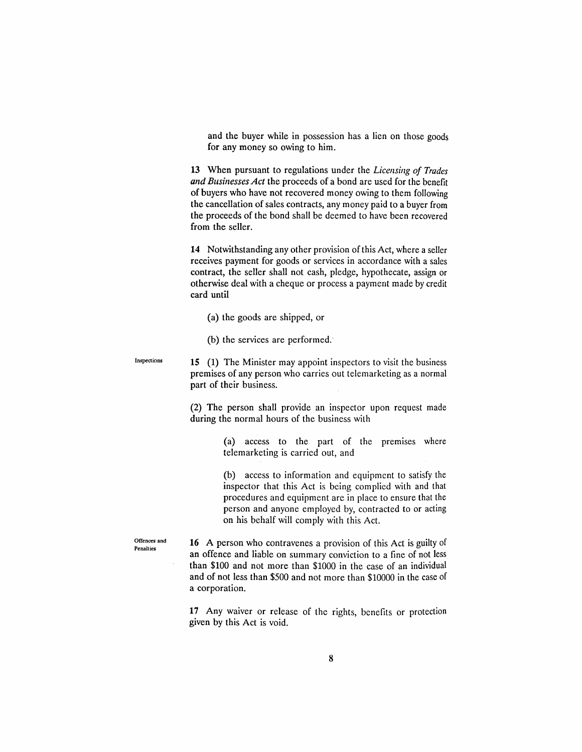and the buyer while in possession has a lien on those goods for any money so owing to him.

**13** When pursuant to regulations under the *Licensing of Trades* and Businesses Act the proceeds of a bond are used for the benefit of buyers who have not recovered money owing to them following the cancellation of sales contracts, any money paid to a buyer from the proceeds of the bond shall be deemed to have been recovered from the seller.

**14** Notwithstanding any other provision of this Act, where a seller receives payment for goods or services in accordance with a sales contract, the seller shall not cash, pledge, hypothecate, assign or otherwise deal with a cheque or process a payment made by credit card until

(a) the goods are shipped, or

(b) the services are performed.'

**15** (1) The Minister may appoint inspectors to visit the business premises of any person who carries out telemarketing as a normal part of their business.

(2) The person shall provide an inspector upon request made during the normal hours of the business with

> (a) access to the part of the premises where telemarketing is carried out, and

> (b) access to information and equipment to satisfy the inspector that this Act is being complied with and that procedures and equipment are in place to ensure that the person and anyone employed by, contracted to or acting on his behalf will comply with this Act.

Offences and Penalties

Inspections

**16** A person who contravenes a provision of this Act is guilty of an offence and liable on summary conviction to a fine of not less than \$100 and not more than \$1000 in the case of an individual and of not less than \$500 and not more than \$10000 in the case of a corporation.

**17** Any waiver or release of the rights, benefits or protection given by this Act is void.